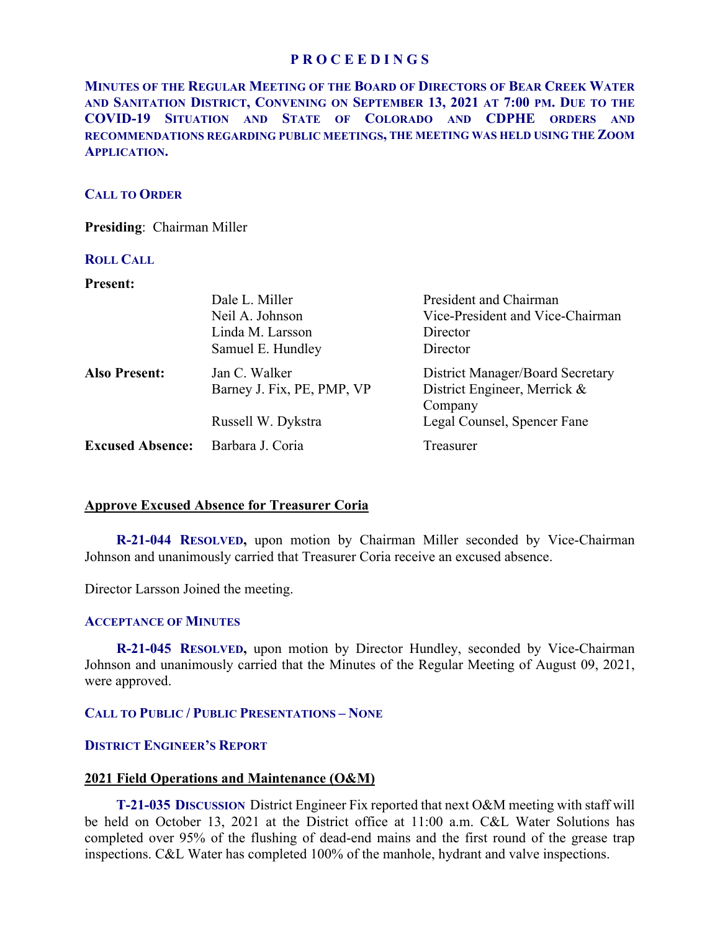**MINUTES OF THE REGULAR MEETING OF THE BOARD OF DIRECTORS OF BEAR CREEK WATER AND SANITATION DISTRICT, CONVENING ON SEPTEMBER 13, 2021 AT 7:00 PM. DUE TO THE COVID-19 SITUATION AND STATE OF COLORADO AND CDPHE ORDERS AND RECOMMENDATIONS REGARDING PUBLIC MEETINGS, THE MEETING WAS HELD USING THE ZOOM APPLICATION.** 

## **CALL TO ORDER**

**Presiding**: Chairman Miller

### **ROLL CALL**

#### **Present:**

|                         | Dale L. Miller             | President and Chairman           |
|-------------------------|----------------------------|----------------------------------|
|                         | Neil A. Johnson            | Vice-President and Vice-Chairman |
|                         | Linda M. Larsson           | Director                         |
|                         | Samuel E. Hundley          | Director                         |
| <b>Also Present:</b>    | Jan C. Walker              | District Manager/Board Secretary |
|                         | Barney J. Fix, PE, PMP, VP | District Engineer, Merrick &     |
|                         |                            | Company                          |
|                         | Russell W. Dykstra         | Legal Counsel, Spencer Fane      |
| <b>Excused Absence:</b> | Barbara J. Coria           | Treasurer                        |

# **Approve Excused Absence for Treasurer Coria**

**R-21-044 RESOLVED,** upon motion by Chairman Miller seconded by Vice-Chairman Johnson and unanimously carried that Treasurer Coria receive an excused absence.

Director Larsson Joined the meeting.

### **ACCEPTANCE OF MINUTES**

**R-21-045 RESOLVED,** upon motion by Director Hundley, seconded by Vice-Chairman Johnson and unanimously carried that the Minutes of the Regular Meeting of August 09, 2021, were approved.

# **CALL TO PUBLIC / PUBLIC PRESENTATIONS – NONE**

### **DISTRICT ENGINEER'S REPORT**

## **2021 Field Operations and Maintenance (O&M)**

 **T-21-035 DISCUSSION** District Engineer Fix reported that next O&M meeting with staff will be held on October 13, 2021 at the District office at 11:00 a.m. C&L Water Solutions has completed over 95% of the flushing of dead-end mains and the first round of the grease trap inspections. C&L Water has completed 100% of the manhole, hydrant and valve inspections.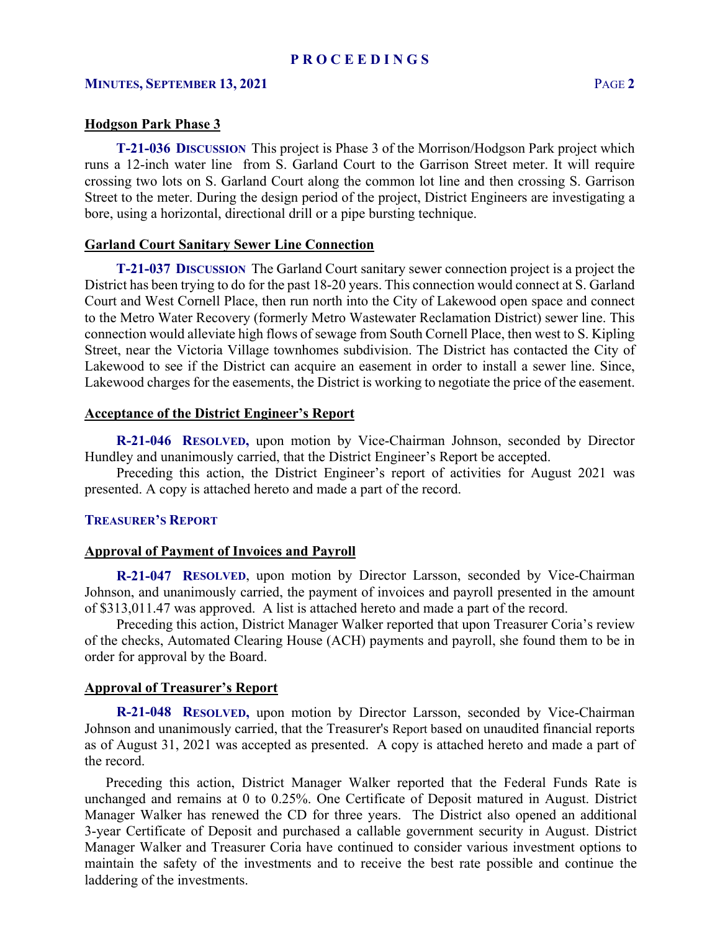#### **Hodgson Park Phase 3**

**T-21-036 DISCUSSION** This project is Phase 3 of the Morrison/Hodgson Park project which crossing two lots on S. Garland Court along the common lot line and then crossing S. Garrison runs a 12-inch water line from S. Garland Court to the Garrison Street meter. It will require Street to the meter. During the design period of the project, District Engineers are investigating a bore, using a horizontal, directional drill or a pipe bursting technique.

#### **Garland Court Sanitary Sewer Line Connection**

 **T-21-037 DISCUSSION** The Garland Court sanitary sewer connection project is a project the Lakewood charges for the easements, the District is working to negotiate the price of the easement. District has been trying to do for the past 18-20 years. This connection would connect at S. Garland Court and West Cornell Place, then run north into the City of Lakewood open space and connect to the Metro Water Recovery (formerly Metro Wastewater Reclamation District) sewer line. This connection would alleviate high flows of sewage from South Cornell Place, then west to S. Kipling Street, near the Victoria Village townhomes subdivision. The District has contacted the City of Lakewood to see if the District can acquire an easement in order to install a sewer line. Since,

# **Acceptance of the District Engineer's Report**

 **R-21-046 RESOLVED,** upon motion by Vice-Chairman Johnson, seconded by Director Hundley and unanimously carried, that the District Engineer's Report be accepted.

 Preceding this action, the District Engineer's report of activities for August 2021 was presented. A copy is attached hereto and made a part of the record.

#### **TREASURER'S REPORT**

#### **Approval of Payment of Invoices and Payroll**

 **R-21-047 RESOLVED**, upon motion by Director Larsson, seconded by Vice-Chairman Johnson, and unanimously carried, the payment of invoices and payroll presented in the amount of \$313,011.47 was approved. A list is attached hereto and made a part of the record.

Preceding this action, District Manager Walker reported that upon Treasurer Coria's review of the checks, Automated Clearing House (ACH) payments and payroll, she found them to be in order for approval by the Board.

#### **Approval of Treasurer's Report**

 **R-21-048 RESOLVED,** upon motion by Director Larsson, seconded by Vice-Chairman as of August 31, 2021 was accepted as presented. A copy is attached hereto and made a part of Johnson and unanimously carried, that the Treasurer's Report based on unaudited financial reports the record.

Preceding this action, District Manager Walker reported that the Federal Funds Rate is unchanged and remains at 0 to 0.25%. One Certificate of Deposit matured in August. District Manager Walker has renewed the CD for three years. The District also opened an additional 3-year Certificate of Deposit and purchased a callable government security in August. District Manager Walker and Treasurer Coria have continued to consider various investment options to maintain the safety of the investments and to receive the best rate possible and continue the laddering of the investments.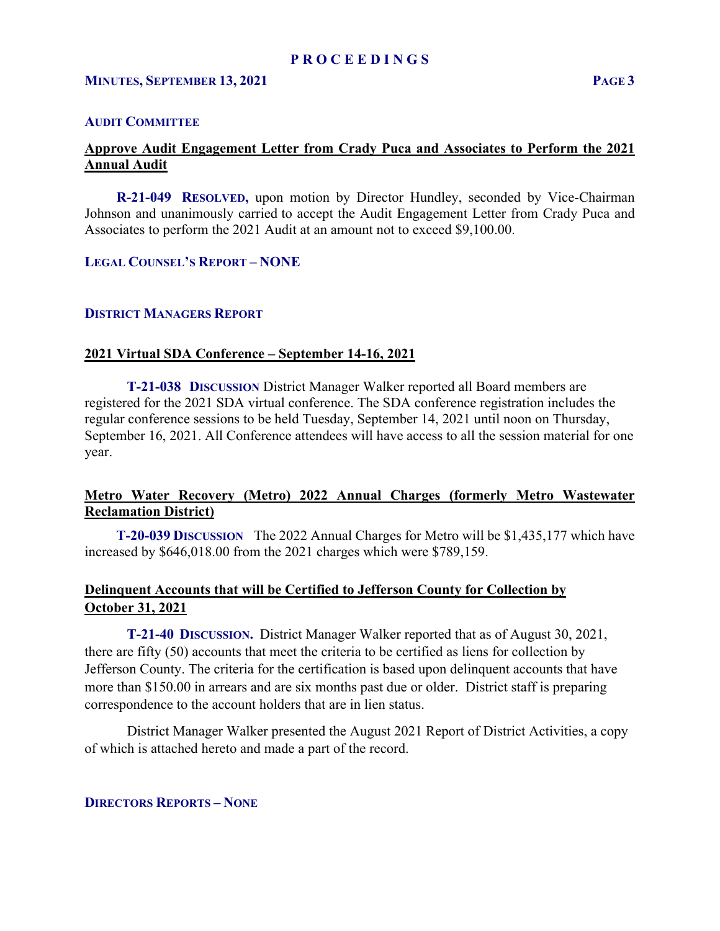#### **AUDIT COMMITTEE**

# **Approve Audit Engagement Letter from Crady Puca and Associates to Perform the 2021 Annual Audit**

 **R-21-049 RESOLVED,** upon motion by Director Hundley, seconded by Vice-Chairman Johnson and unanimously carried to accept the Audit Engagement Letter from Crady Puca and Associates to perform the 2021 Audit at an amount not to exceed \$9,100.00.

#### **LEGAL COUNSEL'S REPORT – NONE**

### **DISTRICT MANAGERS REPORT**

### **2021 Virtual SDA Conference – September 14-16, 2021**

 **T-21-038 DISCUSSION** District Manager Walker reported all Board members are registered for the 2021 SDA virtual conference. The SDA conference registration includes the regular conference sessions to be held Tuesday, September 14, 2021 until noon on Thursday, September 16, 2021. All Conference attendees will have access to all the session material for one year.

# **Metro Water Recovery (Metro) 2022 Annual Charges (formerly Metro Wastewater Reclamation District)**

**T-20-039 DISCUSSION** The 2022 Annual Charges for Metro will be \$1,435,177 which have increased by \$646,018.00 from the 2021 charges which were \$789,159.

# **Delinquent Accounts that will be Certified to Jefferson County for Collection by October 31, 2021**

 **T-21-40 DISCUSSION.** District Manager Walker reported that as of August 30, 2021, there are fifty (50) accounts that meet the criteria to be certified as liens for collection by Jefferson County. The criteria for the certification is based upon delinquent accounts that have more than \$150.00 in arrears and are six months past due or older. District staff is preparing correspondence to the account holders that are in lien status.

District Manager Walker presented the August 2021 Report of District Activities, a copy of which is attached hereto and made a part of the record.

# **DIRECTORS REPORTS – NONE**